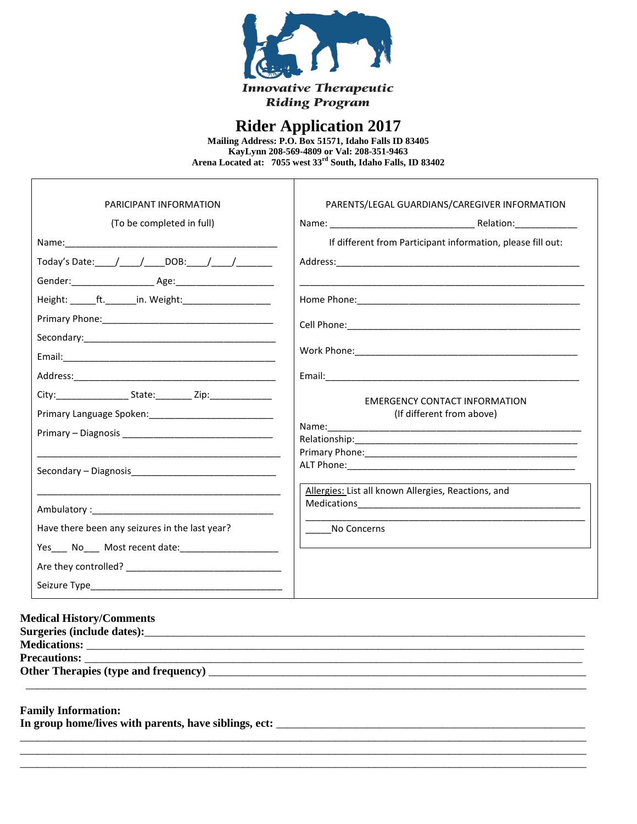

## **Rider Application 2017**

Mailing Address: P.O. Box 51571, Idaho Falls ID 83405<br>KayLynn 208-569-4809 or Val: 208-351-9463 Arena Located at: 7055 west 33rd South, Idaho Falls, ID 83402

 $\top$ 

| PARICIPANT INFORMATION<br>(To be completed in full)<br>Today's Date: $/$ / DOB: / / | PARENTS/LEGAL GUARDIANS/CAREGIVER INFORMATION<br>If different from Participant information, please fill out: |
|-------------------------------------------------------------------------------------|--------------------------------------------------------------------------------------------------------------|
|                                                                                     |                                                                                                              |
| Height: ft. in. Weight:                                                             |                                                                                                              |
|                                                                                     |                                                                                                              |
|                                                                                     |                                                                                                              |
|                                                                                     |                                                                                                              |
| City: ________________________State: ____________ Zip: _________________________    | EMERGENCY CONTACT INFORMATION<br>(If different from above)                                                   |
|                                                                                     |                                                                                                              |
| Have there been any seizures in the last year?                                      | Allergies: List all known Allergies, Reactions, and<br>No Concerns                                           |

| <b>Medical History/Comments</b> |  |  |  |  |
|---------------------------------|--|--|--|--|
|                                 |  |  |  |  |

#### **Family Information:**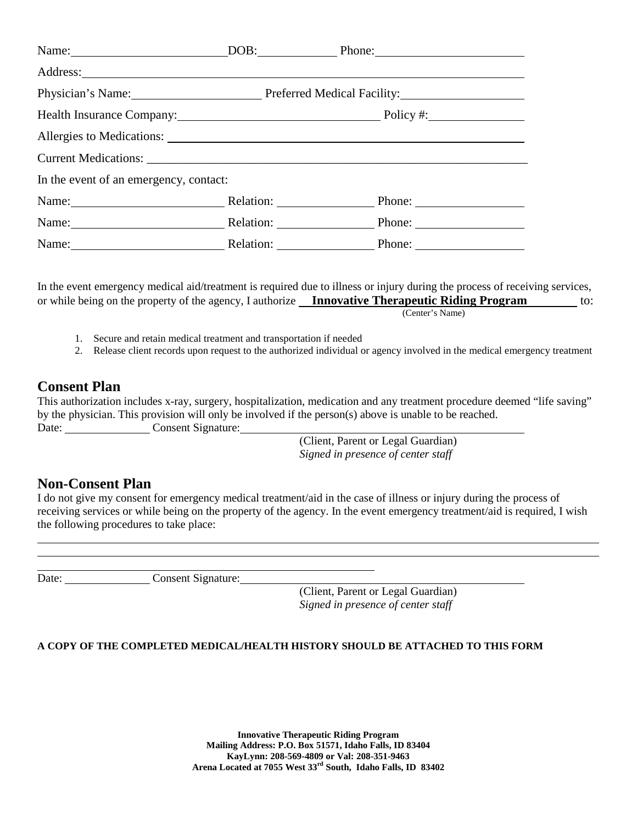|                                        |                                                   | Name: DOB: Phone: Phone:                             |  |  |  |
|----------------------------------------|---------------------------------------------------|------------------------------------------------------|--|--|--|
|                                        |                                                   |                                                      |  |  |  |
|                                        | Physician's Name: Preferred Medical Facility:     |                                                      |  |  |  |
|                                        | Health Insurance Company: Department of Policy #: |                                                      |  |  |  |
|                                        |                                                   |                                                      |  |  |  |
|                                        |                                                   |                                                      |  |  |  |
| In the event of an emergency, contact: |                                                   |                                                      |  |  |  |
|                                        |                                                   | Name: Relation: Relation: Phone: Phone:              |  |  |  |
|                                        |                                                   | Name: Relation: Relation: Phone: Phone:              |  |  |  |
|                                        |                                                   | Name: <u>Name:</u> Relation: Relation: Phone: Phone: |  |  |  |

In the event emergency medical aid/treatment is required due to illness or injury during the process of receiving services, or while being on the property of the agency, I authorize **Innovative Therapeutic Riding Program** to: (Center's Name)

- 1. Secure and retain medical treatment and transportation if needed
- 2. Release client records upon request to the authorized individual or agency involved in the medical emergency treatment

### **Consent Plan**

This authorization includes x-ray, surgery, hospitalization, medication and any treatment procedure deemed "life saving" by the physician. This provision will only be involved if the person(s) above is unable to be reached. Date: Consent Signature:

> (Client, Parent or Legal Guardian) *Signed in presence of center staff*

### **Non-Consent Plan**

I do not give my consent for emergency medical treatment/aid in the case of illness or injury during the process of receiving services or while being on the property of the agency. In the event emergency treatment/aid is required, I wish the following procedures to take place:

<u> 1990 - Johann Barbara, politik eta politik eta politik eta politik eta politik eta politik eta politik eta p</u>

Date: Consent Signature:

(Client, Parent or Legal Guardian) *Signed in presence of center staff*

#### **A COPY OF THE COMPLETED MEDICAL/HEALTH HISTORY SHOULD BE ATTACHED TO THIS FORM**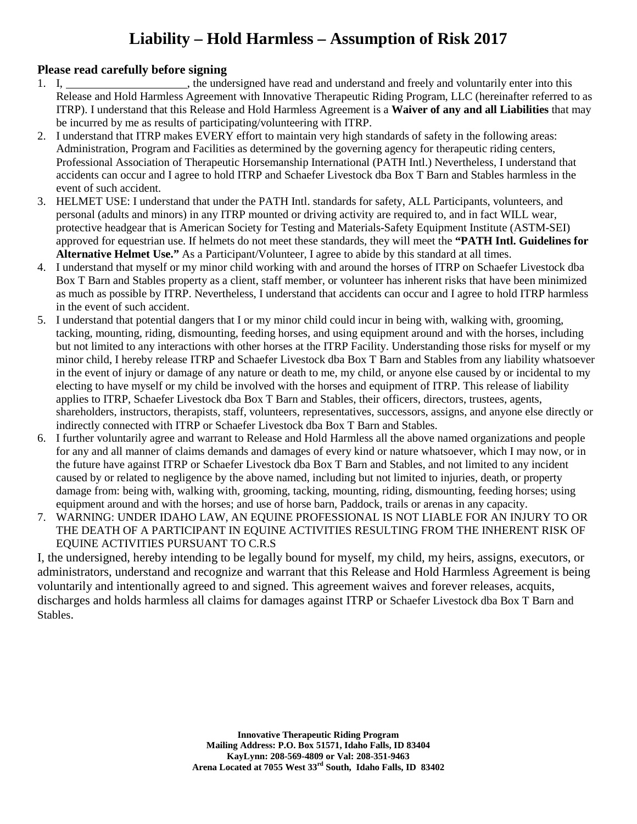# **Liability – Hold Harmless – Assumption of Risk 2017**

### **Please read carefully before signing**

- 1. I, the undersigned have read and understand and freely and voluntarily enter into this Release and Hold Harmless Agreement with Innovative Therapeutic Riding Program, LLC (hereinafter referred to as ITRP). I understand that this Release and Hold Harmless Agreement is a **Waiver of any and all Liabilities** that may be incurred by me as results of participating/volunteering with ITRP.
- 2. I understand that ITRP makes EVERY effort to maintain very high standards of safety in the following areas: Administration, Program and Facilities as determined by the governing agency for therapeutic riding centers, Professional Association of Therapeutic Horsemanship International (PATH Intl.) Nevertheless, I understand that accidents can occur and I agree to hold ITRP and Schaefer Livestock dba Box T Barn and Stables harmless in the event of such accident.
- 3. HELMET USE: I understand that under the PATH Intl. standards for safety, ALL Participants, volunteers, and personal (adults and minors) in any ITRP mounted or driving activity are required to, and in fact WILL wear, protective headgear that is American Society for Testing and Materials-Safety Equipment Institute (ASTM-SEI) approved for equestrian use. If helmets do not meet these standards, they will meet the **"PATH Intl. Guidelines for Alternative Helmet Use."** As a Participant/Volunteer, I agree to abide by this standard at all times.
- 4. I understand that myself or my minor child working with and around the horses of ITRP on Schaefer Livestock dba Box T Barn and Stables property as a client, staff member, or volunteer has inherent risks that have been minimized as much as possible by ITRP. Nevertheless, I understand that accidents can occur and I agree to hold ITRP harmless in the event of such accident.
- 5. I understand that potential dangers that I or my minor child could incur in being with, walking with, grooming, tacking, mounting, riding, dismounting, feeding horses, and using equipment around and with the horses, including but not limited to any interactions with other horses at the ITRP Facility. Understanding those risks for myself or my minor child, I hereby release ITRP and Schaefer Livestock dba Box T Barn and Stables from any liability whatsoever in the event of injury or damage of any nature or death to me, my child, or anyone else caused by or incidental to my electing to have myself or my child be involved with the horses and equipment of ITRP. This release of liability applies to ITRP, Schaefer Livestock dba Box T Barn and Stables, their officers, directors, trustees, agents, shareholders, instructors, therapists, staff, volunteers, representatives, successors, assigns, and anyone else directly or indirectly connected with ITRP or Schaefer Livestock dba Box T Barn and Stables.
- 6. I further voluntarily agree and warrant to Release and Hold Harmless all the above named organizations and people for any and all manner of claims demands and damages of every kind or nature whatsoever, which I may now, or in the future have against ITRP or Schaefer Livestock dba Box T Barn and Stables, and not limited to any incident caused by or related to negligence by the above named, including but not limited to injuries, death, or property damage from: being with, walking with, grooming, tacking, mounting, riding, dismounting, feeding horses; using equipment around and with the horses; and use of horse barn, Paddock, trails or arenas in any capacity.
- 7. WARNING: UNDER IDAHO LAW, AN EQUINE PROFESSIONAL IS NOT LIABLE FOR AN INJURY TO OR THE DEATH OF A PARTICIPANT IN EQUINE ACTIVITIES RESULTING FROM THE INHERENT RISK OF EQUINE ACTIVITIES PURSUANT TO C.R.S

I, the undersigned, hereby intending to be legally bound for myself, my child, my heirs, assigns, executors, or administrators, understand and recognize and warrant that this Release and Hold Harmless Agreement is being voluntarily and intentionally agreed to and signed. This agreement waives and forever releases, acquits, discharges and holds harmless all claims for damages against ITRP or Schaefer Livestock dba Box T Barn and Stables.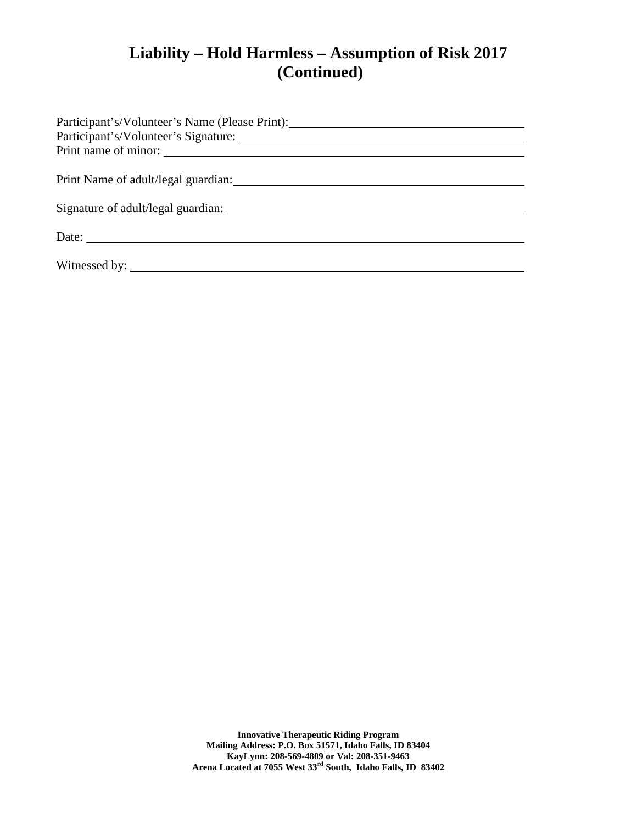# **Liability – Hold Harmless – Assumption of Risk 2017 (Continued)**

| Participant's/Volunteer's Name (Please Print):           |
|----------------------------------------------------------|
|                                                          |
|                                                          |
|                                                          |
|                                                          |
|                                                          |
|                                                          |
| Date: $\frac{1}{\sqrt{1-\frac{1}{2}} \cdot \frac{1}{2}}$ |
|                                                          |
|                                                          |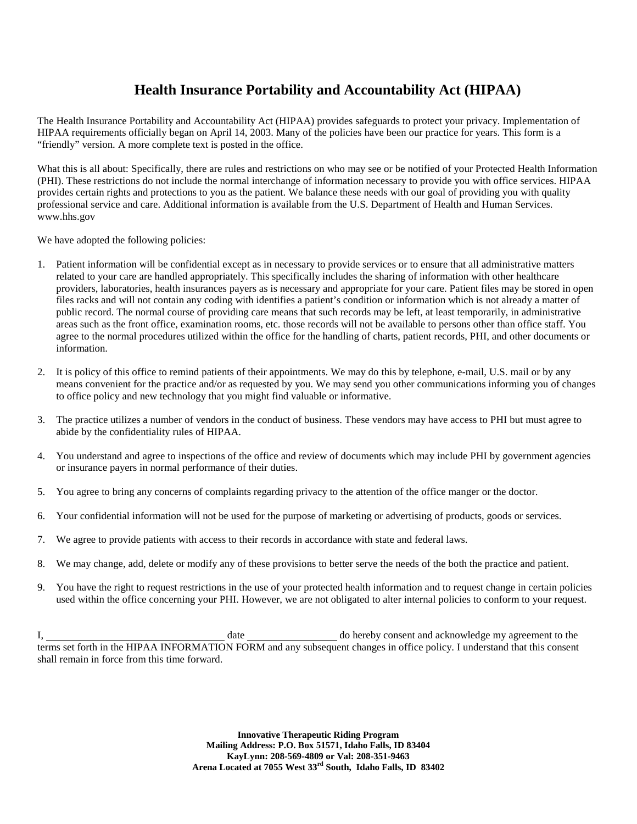## **Health Insurance Portability and Accountability Act (HIPAA)**

The Health Insurance Portability and Accountability Act (HIPAA) provides safeguards to protect your privacy. Implementation of HIPAA requirements officially began on April 14, 2003. Many of the policies have been our practice for years. This form is a "friendly" version. A more complete text is posted in the office.

What this is all about: Specifically, there are rules and restrictions on who may see or be notified of your Protected Health Information (PHI). These restrictions do not include the normal interchange of information necessary to provide you with office services. HIPAA provides certain rights and protections to you as the patient. We balance these needs with our goal of providing you with quality professional service and care. Additional information is available from the U.S. Department of Health and Human Services. www.hhs.gov

We have adopted the following policies:

- 1. Patient information will be confidential except as in necessary to provide services or to ensure that all administrative matters related to your care are handled appropriately. This specifically includes the sharing of information with other healthcare providers, laboratories, health insurances payers as is necessary and appropriate for your care. Patient files may be stored in open files racks and will not contain any coding with identifies a patient's condition or information which is not already a matter of public record. The normal course of providing care means that such records may be left, at least temporarily, in administrative areas such as the front office, examination rooms, etc. those records will not be available to persons other than office staff. You agree to the normal procedures utilized within the office for the handling of charts, patient records, PHI, and other documents or information.
- 2. It is policy of this office to remind patients of their appointments. We may do this by telephone, e-mail, U.S. mail or by any means convenient for the practice and/or as requested by you. We may send you other communications informing you of changes to office policy and new technology that you might find valuable or informative.
- 3. The practice utilizes a number of vendors in the conduct of business. These vendors may have access to PHI but must agree to abide by the confidentiality rules of HIPAA.
- 4. You understand and agree to inspections of the office and review of documents which may include PHI by government agencies or insurance payers in normal performance of their duties.
- 5. You agree to bring any concerns of complaints regarding privacy to the attention of the office manger or the doctor.
- 6. Your confidential information will not be used for the purpose of marketing or advertising of products, goods or services.
- 7. We agree to provide patients with access to their records in accordance with state and federal laws.
- 8. We may change, add, delete or modify any of these provisions to better serve the needs of the both the practice and patient.
- 9. You have the right to request restrictions in the use of your protected health information and to request change in certain policies used within the office concerning your PHI. However, we are not obligated to alter internal policies to conform to your request.

I, date do hereby consent and acknowledge my agreement to the terms set forth in the HIPAA INFORMATION FORM and any subsequent changes in office policy. I understand that this consent shall remain in force from this time forward.